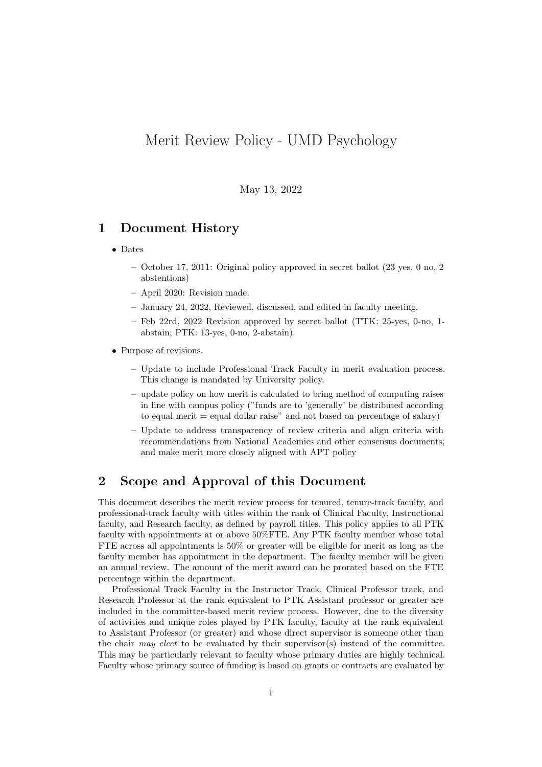# Merit Review Policy - UMD Psychology

May 13, 2022

## 1 Document History

- Dates
	- October 17, 2011: Original policy approved in secret ballot (23 yes, 0 no, 2 abstentions)
	- April 2020: Revision made.
	- January 24, 2022, Reviewed, discussed, and edited in faculty meeting.
	- Feb 22rd, 2022 Revision approved by secret ballot (TTK: 25-yes, 0-no, 1 abstain; PTK: 13-yes, 0-no, 2-abstain).
- Purpose of revisions.
	- Update to include Professional Track Faculty in merit evaluation process. This change is mandated by University policy.
	- update policy on how merit is calculated to bring method of computing raises in line with campus policy ("funds are to 'generally' be distributed according to equal merit  $=$  equal dollar raise" and not based on percentage of salary)
	- Update to address transparency of review criteria and align criteria with recommendations from National Academies and other consensus documents; and make merit more closely aligned with APT policy

## 2 Scope and Approval of this Document

This document describes the merit review process for tenured, tenure-track faculty, and professional-track faculty with titles within the rank of Clinical Faculty, Instructional faculty, and Research faculty, as defined by payroll titles. This policy applies to all PTK faculty with appointments at or above 50%FTE. Any PTK faculty member whose total FTE across all appointments is 50% or greater will be eligible for merit as long as the faculty member has appointment in the department. The faculty member will be given an annual review. The amount of the merit award can be prorated based on the FTE percentage within the department.

Professional Track Faculty in the Instructor Track, Clinical Professor track, and Research Professor at the rank equivalent to PTK Assistant professor or greater are included in the committee-based merit review process. However, due to the diversity of activities and unique roles played by PTK faculty, faculty at the rank equivalent to Assistant Professor (or greater) and whose direct supervisor is someone other than the chair may elect to be evaluated by their supervisor(s) instead of the committee. This may be particularly relevant to faculty whose primary duties are highly technical. Faculty whose primary source of funding is based on grants or contracts are evaluated by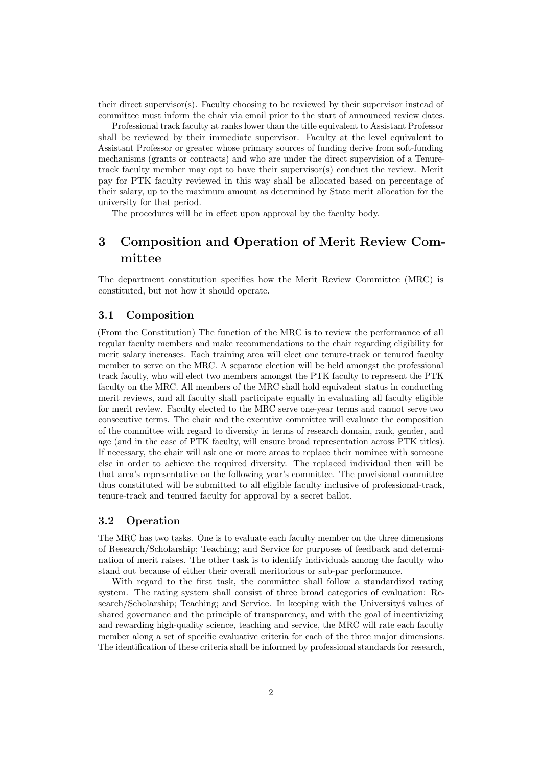their direct supervisor(s). Faculty choosing to be reviewed by their supervisor instead of committee must inform the chair via email prior to the start of announced review dates.

Professional track faculty at ranks lower than the title equivalent to Assistant Professor shall be reviewed by their immediate supervisor. Faculty at the level equivalent to Assistant Professor or greater whose primary sources of funding derive from soft-funding mechanisms (grants or contracts) and who are under the direct supervision of a Tenuretrack faculty member may opt to have their supervisor(s) conduct the review. Merit pay for PTK faculty reviewed in this way shall be allocated based on percentage of their salary, up to the maximum amount as determined by State merit allocation for the university for that period.

The procedures will be in effect upon approval by the faculty body.

## 3 Composition and Operation of Merit Review Committee

The department constitution specifies how the Merit Review Committee (MRC) is constituted, but not how it should operate.

#### 3.1 Composition

(From the Constitution) The function of the MRC is to review the performance of all regular faculty members and make recommendations to the chair regarding eligibility for merit salary increases. Each training area will elect one tenure-track or tenured faculty member to serve on the MRC. A separate election will be held amongst the professional track faculty, who will elect two members amongst the PTK faculty to represent the PTK faculty on the MRC. All members of the MRC shall hold equivalent status in conducting merit reviews, and all faculty shall participate equally in evaluating all faculty eligible for merit review. Faculty elected to the MRC serve one-year terms and cannot serve two consecutive terms. The chair and the executive committee will evaluate the composition of the committee with regard to diversity in terms of research domain, rank, gender, and age (and in the case of PTK faculty, will ensure broad representation across PTK titles). If necessary, the chair will ask one or more areas to replace their nominee with someone else in order to achieve the required diversity. The replaced individual then will be that area's representative on the following year's committee. The provisional committee thus constituted will be submitted to all eligible faculty inclusive of professional-track, tenure-track and tenured faculty for approval by a secret ballot.

#### 3.2 Operation

The MRC has two tasks. One is to evaluate each faculty member on the three dimensions of Research/Scholarship; Teaching; and Service for purposes of feedback and determination of merit raises. The other task is to identify individuals among the faculty who stand out because of either their overall meritorious or sub-par performance.

With regard to the first task, the committee shall follow a standardized rating system. The rating system shall consist of three broad categories of evaluation: Research/Scholarship; Teaching; and Service. In keeping with the University's values of shared governance and the principle of transparency, and with the goal of incentivizing and rewarding high-quality science, teaching and service, the MRC will rate each faculty member along a set of specific evaluative criteria for each of the three major dimensions. The identification of these criteria shall be informed by professional standards for research,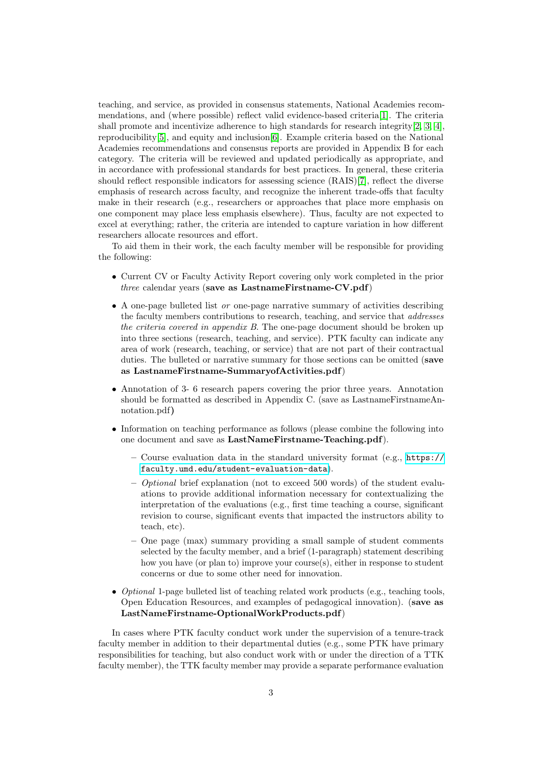teaching, and service, as provided in consensus statements, National Academies recommendations, and (where possible) reflect valid evidence-based criteria[\[1\]](#page-5-0). The criteria shall promote and incentivize adherence to high standards for research integrity $[2, 3, 4]$  $[2, 3, 4]$  $[2, 3, 4]$  $[2, 3, 4]$  $[2, 3, 4]$ , reproducibility[\[5\]](#page-5-4), and equity and inclusion[\[6\]](#page-5-5). Example criteria based on the National Academies recommendations and consensus reports are provided in Appendix B for each category. The criteria will be reviewed and updated periodically as appropriate, and in accordance with professional standards for best practices. In general, these criteria should reflect responsible indicators for assessing science (RAIS)[\[7\]](#page-5-6), reflect the diverse emphasis of research across faculty, and recognize the inherent trade-offs that faculty make in their research (e.g., researchers or approaches that place more emphasis on one component may place less emphasis elsewhere). Thus, faculty are not expected to excel at everything; rather, the criteria are intended to capture variation in how different researchers allocate resources and effort.

To aid them in their work, the each faculty member will be responsible for providing the following:

- Current CV or Faculty Activity Report covering only work completed in the prior  $three$  calendar years (save as LastnameFirstname-CV.pdf)
- A one-page bulleted list or one-page narrative summary of activities describing the faculty members contributions to research, teaching, and service that addresses the criteria covered in appendix B. The one-page document should be broken up into three sections (research, teaching, and service). PTK faculty can indicate any area of work (research, teaching, or service) that are not part of their contractual duties. The bulleted or narrative summary for those sections can be omitted (save as LastnameFirstname-SummaryofActivities.pdf)
- Annotation of 3- 6 research papers covering the prior three years. Annotation should be formatted as described in Appendix C. (save as LastnameFirstnameAnnotation.pdf)
- Information on teaching performance as follows (please combine the following into one document and save as LastNameFirstname-Teaching.pdf).
	- $-$  Course evaluation data in the standard university format (e.g., [https://](https://faculty.umd.edu/student-evaluation-data) [faculty.umd.edu/student-evaluation-data](https://faculty.umd.edu/student-evaluation-data)).
	- Optional brief explanation (not to exceed 500 words) of the student evaluations to provide additional information necessary for contextualizing the interpretation of the evaluations (e.g., first time teaching a course, significant revision to course, significant events that impacted the instructors ability to teach, etc).
	- One page (max) summary providing a small sample of student comments selected by the faculty member, and a brief (1-paragraph) statement describing how you have (or plan to) improve your course(s), either in response to student concerns or due to some other need for innovation.
- *Optional* 1-page bulleted list of teaching related work products (e.g., teaching tools, Open Education Resources, and examples of pedagogical innovation). (save as LastNameFirstname-OptionalWorkProducts.pdf)

In cases where PTK faculty conduct work under the supervision of a tenure-track faculty member in addition to their departmental duties (e.g., some PTK have primary responsibilities for teaching, but also conduct work with or under the direction of a TTK faculty member), the TTK faculty member may provide a separate performance evaluation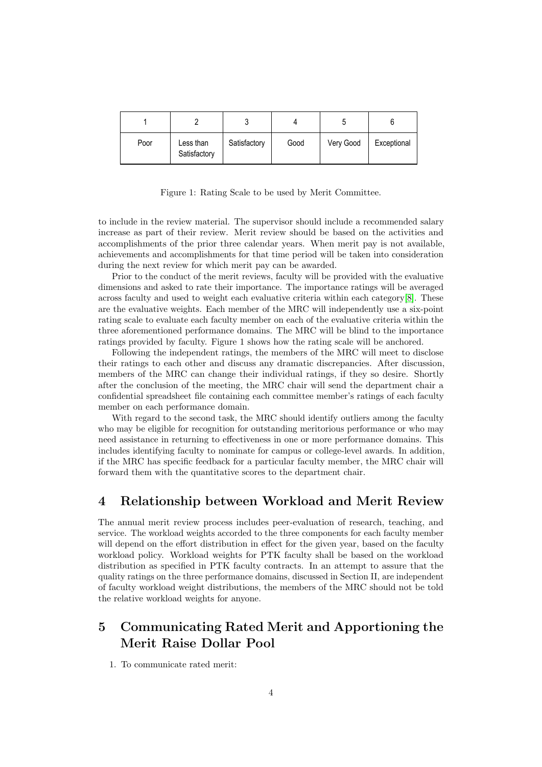|      |                           | J            |      |           |             |
|------|---------------------------|--------------|------|-----------|-------------|
| Poor | Less than<br>Satisfactory | Satisfactory | Good | Very Good | Exceptional |

Figure 1: Rating Scale to be used by Merit Committee.

to include in the review material. The supervisor should include a recommended salary increase as part of their review. Merit review should be based on the activities and accomplishments of the prior three calendar years. When merit pay is not available, achievements and accomplishments for that time period will be taken into consideration during the next review for which merit pay can be awarded.

Prior to the conduct of the merit reviews, faculty will be provided with the evaluative dimensions and asked to rate their importance. The importance ratings will be averaged across faculty and used to weight each evaluative criteria within each category[\[8\]](#page-5-7). These are the evaluative weights. Each member of the MRC will independently use a six-point rating scale to evaluate each faculty member on each of the evaluative criteria within the three aforementioned performance domains. The MRC will be blind to the importance ratings provided by faculty. Figure 1 shows how the rating scale will be anchored.

Following the independent ratings, the members of the MRC will meet to disclose their ratings to each other and discuss any dramatic discrepancies. After discussion, members of the MRC can change their individual ratings, if they so desire. Shortly after the conclusion of the meeting, the MRC chair will send the department chair a confidential spreadsheet file containing each committee member's ratings of each faculty member on each performance domain.

With regard to the second task, the MRC should identify outliers among the faculty who may be eligible for recognition for outstanding meritorious performance or who may need assistance in returning to effectiveness in one or more performance domains. This includes identifying faculty to nominate for campus or college-level awards. In addition, if the MRC has specific feedback for a particular faculty member, the MRC chair will forward them with the quantitative scores to the department chair.

### 4 Relationship between Workload and Merit Review

The annual merit review process includes peer-evaluation of research, teaching, and service. The workload weights accorded to the three components for each faculty member will depend on the effort distribution in effect for the given year, based on the faculty workload policy. Workload weights for PTK faculty shall be based on the workload distribution as specified in PTK faculty contracts. In an attempt to assure that the quality ratings on the three performance domains, discussed in Section II, are independent of faculty workload weight distributions, the members of the MRC should not be told the relative workload weights for anyone.

## 5 Communicating Rated Merit and Apportioning the Merit Raise Dollar Pool

1. To communicate rated merit: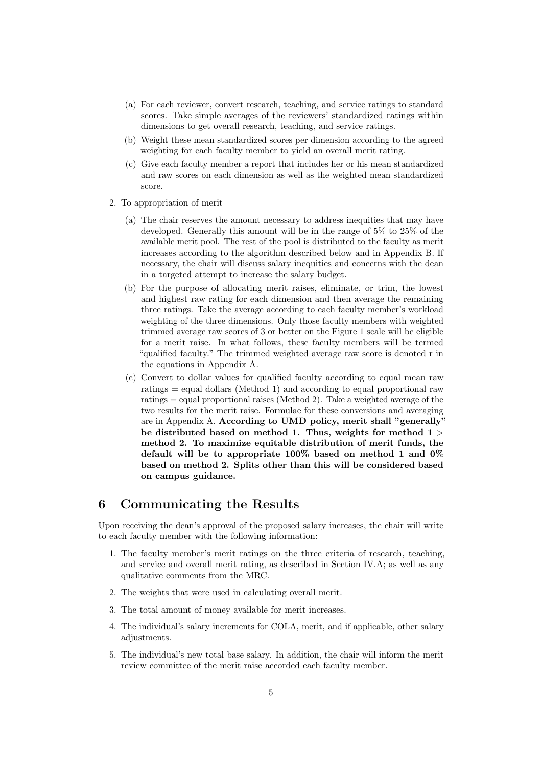- (a) For each reviewer, convert research, teaching, and service ratings to standard scores. Take simple averages of the reviewers' standardized ratings within dimensions to get overall research, teaching, and service ratings.
- (b) Weight these mean standardized scores per dimension according to the agreed weighting for each faculty member to yield an overall merit rating.
- (c) Give each faculty member a report that includes her or his mean standardized and raw scores on each dimension as well as the weighted mean standardized score.
- 2. To appropriation of merit
	- (a) The chair reserves the amount necessary to address inequities that may have developed. Generally this amount will be in the range of 5% to 25% of the available merit pool. The rest of the pool is distributed to the faculty as merit increases according to the algorithm described below and in Appendix B. If necessary, the chair will discuss salary inequities and concerns with the dean in a targeted attempt to increase the salary budget.
	- (b) For the purpose of allocating merit raises, eliminate, or trim, the lowest and highest raw rating for each dimension and then average the remaining three ratings. Take the average according to each faculty member's workload weighting of the three dimensions. Only those faculty members with weighted trimmed average raw scores of 3 or better on the Figure 1 scale will be eligible for a merit raise. In what follows, these faculty members will be termed "qualified faculty." The trimmed weighted average raw score is denoted r in the equations in Appendix A.
	- (c) Convert to dollar values for qualified faculty according to equal mean raw ratings = equal dollars (Method 1) and according to equal proportional raw ratings = equal proportional raises (Method 2). Take a weighted average of the two results for the merit raise. Formulae for these conversions and averaging are in Appendix A. According to UMD policy, merit shall "generally" be distributed based on method 1. Thus, weights for method  $1 >$ method 2. To maximize equitable distribution of merit funds, the default will be to appropriate 100% based on method 1 and 0% based on method 2. Splits other than this will be considered based on campus guidance.

## 6 Communicating the Results

Upon receiving the dean's approval of the proposed salary increases, the chair will write to each faculty member with the following information:

- 1. The faculty member's merit ratings on the three criteria of research, teaching, and service and overall merit rating, as described in Section IV.A; as well as any qualitative comments from the MRC.
- 2. The weights that were used in calculating overall merit.
- 3. The total amount of money available for merit increases.
- 4. The individual's salary increments for COLA, merit, and if applicable, other salary adjustments.
- 5. The individual's new total base salary. In addition, the chair will inform the merit review committee of the merit raise accorded each faculty member.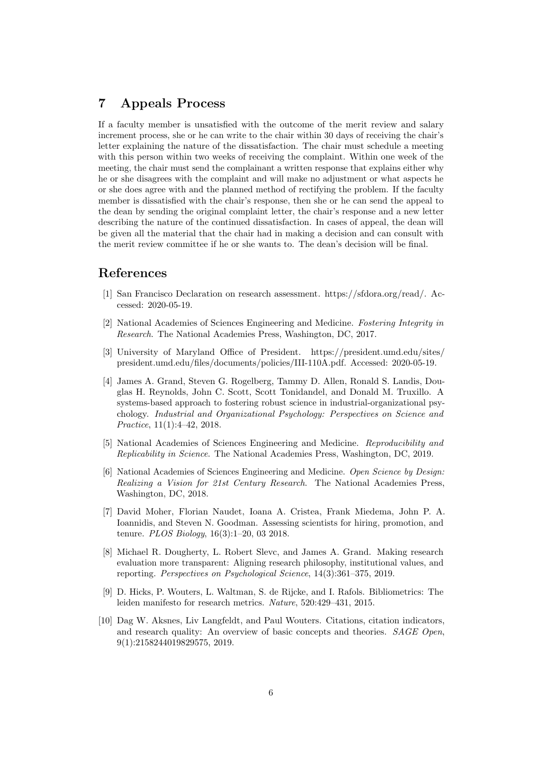## 7 Appeals Process

If a faculty member is unsatisfied with the outcome of the merit review and salary increment process, she or he can write to the chair within 30 days of receiving the chair's letter explaining the nature of the dissatisfaction. The chair must schedule a meeting with this person within two weeks of receiving the complaint. Within one week of the meeting, the chair must send the complainant a written response that explains either why he or she disagrees with the complaint and will make no adjustment or what aspects he or she does agree with and the planned method of rectifying the problem. If the faculty member is dissatisfied with the chair's response, then she or he can send the appeal to the dean by sending the original complaint letter, the chair's response and a new letter describing the nature of the continued dissatisfaction. In cases of appeal, the dean will be given all the material that the chair had in making a decision and can consult with the merit review committee if he or she wants to. The dean's decision will be final.

### References

- <span id="page-5-0"></span>[1] San Francisco Declaration on research assessment. https://sfdora.org/read/. Accessed: 2020-05-19.
- <span id="page-5-1"></span>[2] National Academies of Sciences Engineering and Medicine. Fostering Integrity in Research. The National Academies Press, Washington, DC, 2017.
- <span id="page-5-2"></span>[3] University of Maryland Office of President. https://president.umd.edu/sites/ president.umd.edu/files/documents/policies/III-110A.pdf. Accessed: 2020-05-19.
- <span id="page-5-3"></span>[4] James A. Grand, Steven G. Rogelberg, Tammy D. Allen, Ronald S. Landis, Douglas H. Reynolds, John C. Scott, Scott Tonidandel, and Donald M. Truxillo. A systems-based approach to fostering robust science in industrial-organizational psychology. Industrial and Organizational Psychology: Perspectives on Science and Practice, 11(1):4–42, 2018.
- <span id="page-5-4"></span>[5] National Academies of Sciences Engineering and Medicine. Reproducibility and Replicability in Science. The National Academies Press, Washington, DC, 2019.
- <span id="page-5-5"></span>[6] National Academies of Sciences Engineering and Medicine. Open Science by Design: Realizing a Vision for 21st Century Research. The National Academies Press, Washington, DC, 2018.
- <span id="page-5-6"></span>[7] David Moher, Florian Naudet, Ioana A. Cristea, Frank Miedema, John P. A. Ioannidis, and Steven N. Goodman. Assessing scientists for hiring, promotion, and tenure. PLOS Biology, 16(3):1–20, 03 2018.
- <span id="page-5-7"></span>[8] Michael R. Dougherty, L. Robert Slevc, and James A. Grand. Making research evaluation more transparent: Aligning research philosophy, institutional values, and reporting. Perspectives on Psychological Science, 14(3):361–375, 2019.
- <span id="page-5-8"></span>[9] D. Hicks, P. Wouters, L. Waltman, S. de Rijcke, and I. Rafols. Bibliometrics: The leiden manifesto for research metrics. Nature, 520:429–431, 2015.
- <span id="page-5-9"></span>[10] Dag W. Aksnes, Liv Langfeldt, and Paul Wouters. Citations, citation indicators, and research quality: An overview of basic concepts and theories. SAGE Open, 9(1):2158244019829575, 2019.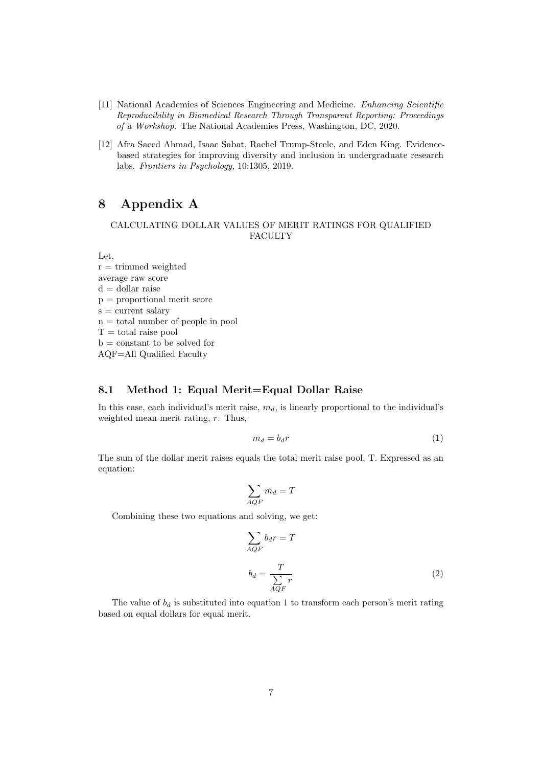- <span id="page-6-0"></span>[11] National Academies of Sciences Engineering and Medicine. Enhancing Scientific Reproducibility in Biomedical Research Through Transparent Reporting: Proceedings of a Workshop. The National Academies Press, Washington, DC, 2020.
- <span id="page-6-1"></span>[12] Afra Saeed Ahmad, Isaac Sabat, Rachel Trump-Steele, and Eden King. Evidencebased strategies for improving diversity and inclusion in undergraduate research labs. Frontiers in Psychology, 10:1305, 2019.

## 8 Appendix A

#### CALCULATING DOLLAR VALUES OF MERIT RATINGS FOR QUALIFIED FACULTY

Let,

 $r =$  trimmed weighted average raw score  $d =$  dollar raise p = proportional merit score  $s = current$  salary  $n =$  total number of people in pool  $T =$  total raise pool  $b = constant to be solved for$ AQF=All Qualified Faculty

#### 8.1 Method 1: Equal Merit=Equal Dollar Raise

In this case, each individual's merit raise,  $m_d$ , is linearly proportional to the individual's weighted mean merit rating, r. Thus,

$$
m_d = b_d r \tag{1}
$$

The sum of the dollar merit raises equals the total merit raise pool, T. Expressed as an equation:

$$
\sum_{A Q F} m_d = T
$$

Combining these two equations and solving, we get:

$$
\sum_{AQF} b_d r = T
$$
  

$$
b_d = \frac{T}{\sum_{AQF} r}
$$
 (2)

The value of  $b_d$  is substituted into equation 1 to transform each person's merit rating based on equal dollars for equal merit.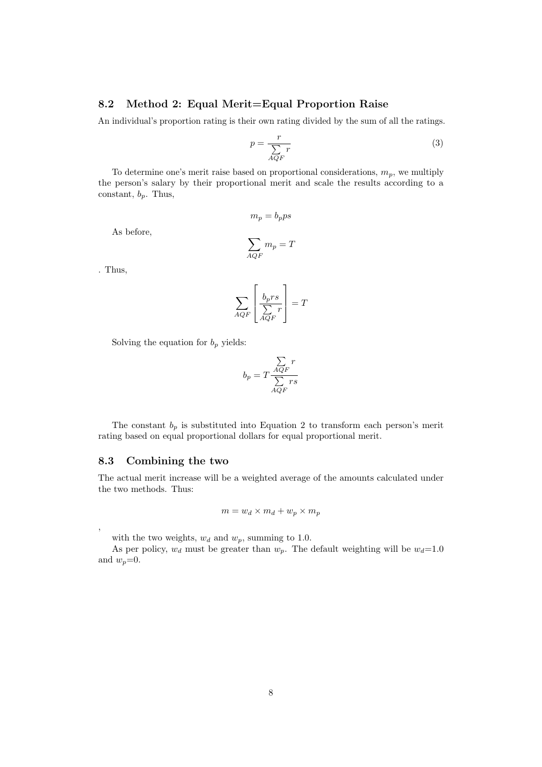#### 8.2 Method 2: Equal Merit=Equal Proportion Raise

An individual's proportion rating is their own rating divided by the sum of all the ratings.

$$
p = \frac{r}{\sum_{AQF} r} \tag{3}
$$

To determine one's merit raise based on proportional considerations,  $m_p$ , we multiply the person's salary by their proportional merit and scale the results according to a constant,  $b_p$ . Thus,

 $m_p = b_p p s$ 

As before,

$$
\sum_{A Q F} m_p = T
$$

. Thus,

,

$$
\sum_{AQF} \left[ \frac{b_p rs}{\sum_{AQF} r} \right] = T
$$

Solving the equation for  $b_p$  yields:

$$
b_p = T \frac{\sum_{AQF} r}{\sum_{AQF} rs}
$$

The constant  $b_p$  is substituted into Equation 2 to transform each person's merit rating based on equal proportional dollars for equal proportional merit.

#### 8.3 Combining the two

The actual merit increase will be a weighted average of the amounts calculated under the two methods. Thus:

$$
m = w_d \times m_d + w_p \times m_p
$$

with the two weights,  $w_d$  and  $w_p$ , summing to 1.0.

As per policy,  $w_d$  must be greater than  $w_p$ . The default weighting will be  $w_d=1.0$ and  $w_p=0$ .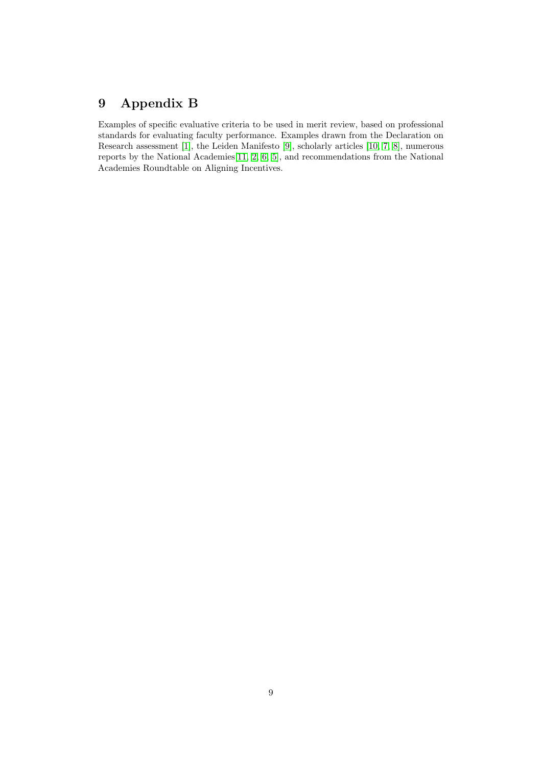# 9 Appendix B

Examples of specific evaluative criteria to be used in merit review, based on professional standards for evaluating faculty performance. Examples drawn from the Declaration on Research assessment [\[1\]](#page-5-0), the Leiden Manifesto [\[9\]](#page-5-8), scholarly articles [\[10,](#page-5-9) [7,](#page-5-6) [8\]](#page-5-7), numerous reports by the National Academies[\[11,](#page-6-0) [2,](#page-5-1) [6,](#page-5-5) [5\]](#page-5-4), and recommendations from the National Academies Roundtable on Aligning Incentives.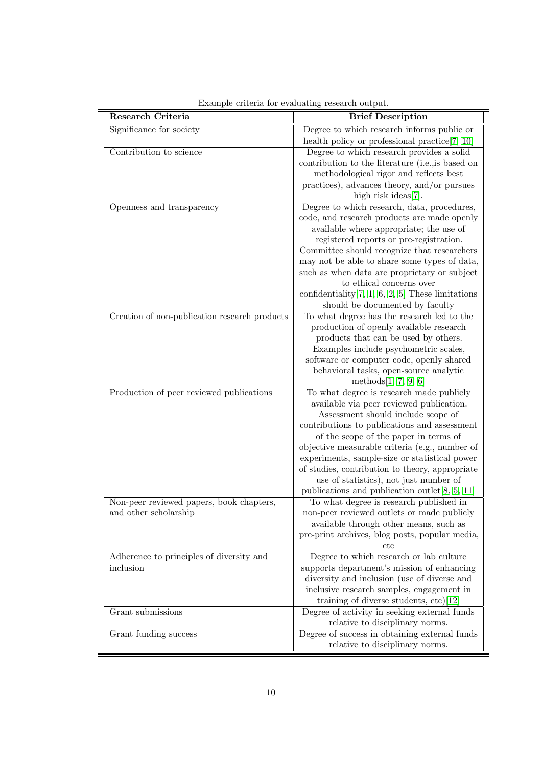| Research Criteria                                                 | <b>Brief Description</b>                                                                                                                                                                                                                                                                                                                                                                                                                                                |
|-------------------------------------------------------------------|-------------------------------------------------------------------------------------------------------------------------------------------------------------------------------------------------------------------------------------------------------------------------------------------------------------------------------------------------------------------------------------------------------------------------------------------------------------------------|
| Significance for society                                          | Degree to which research informs public or<br>health policy or professional practice $[7, 10]$                                                                                                                                                                                                                                                                                                                                                                          |
| Contribution to science                                           | Degree to which research provides a solid<br>contribution to the literature (i.e., is based on<br>methodological rigor and reflects best<br>practices), advances theory, and/or pursues<br>high risk ideas[7].                                                                                                                                                                                                                                                          |
| Openness and transparency                                         | Degree to which research, data, procedures,<br>code, and research products are made openly<br>available where appropriate; the use of<br>registered reports or pre-registration.<br>Committee should recognize that researchers<br>may not be able to share some types of data,<br>such as when data are proprietary or subject<br>to ethical concerns over<br>confidentiality $[7, 1, 6, 2, 5]$ These limitations<br>should be documented by faculty                   |
| Creation of non-publication research products                     | To what degree has the research led to the<br>production of openly available research<br>products that can be used by others.<br>Examples include psychometric scales,<br>software or computer code, openly shared<br>behavioral tasks, open-source analytic<br>methods $[1, 7, 9, 6]$                                                                                                                                                                                  |
| Production of peer reviewed publications                          | To what degree is research made publicly<br>available via peer reviewed publication.<br>Assessment should include scope of<br>contributions to publications and assessment<br>of the scope of the paper in terms of<br>objective measurable criteria (e.g., number of<br>experiments, sample-size or statistical power<br>of studies, contribution to theory, appropriate<br>use of statistics), not just number of<br>publications and publication outlet $[8, 5, 11]$ |
| Non-peer reviewed papers, book chapters,<br>and other scholarship | To what degree is research published in<br>non-peer reviewed outlets or made publicly<br>available through other means, such as<br>pre-print archives, blog posts, popular media,<br>etc                                                                                                                                                                                                                                                                                |
| Adherence to principles of diversity and<br>inclusion             | Degree to which research or lab culture<br>supports department's mission of enhancing<br>diversity and inclusion (use of diverse and<br>inclusive research samples, engagement in<br>training of diverse students, $etc$ [12]                                                                                                                                                                                                                                           |
| Grant submissions                                                 | Degree of activity in seeking external funds<br>relative to disciplinary norms.                                                                                                                                                                                                                                                                                                                                                                                         |
| Grant funding success                                             | Degree of success in obtaining external funds<br>relative to disciplinary norms.                                                                                                                                                                                                                                                                                                                                                                                        |

Example criteria for evaluating research output.

ċ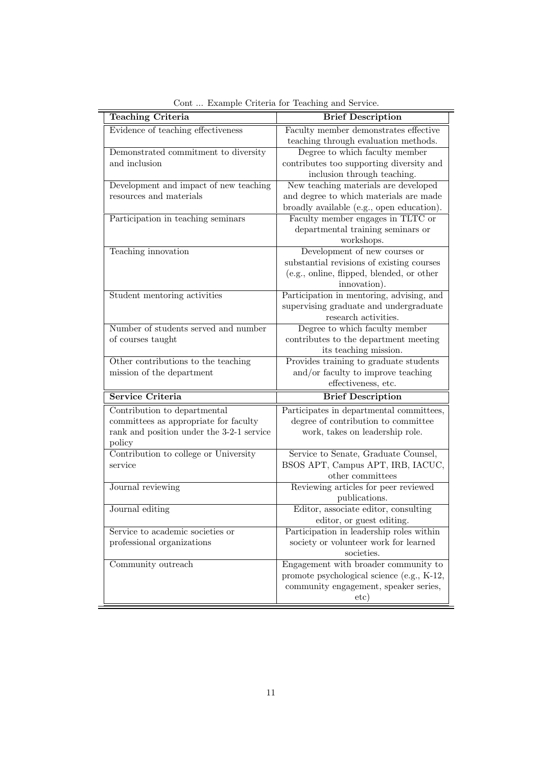| Teaching Criteria                         | <b>Brief Description</b>                   |  |  |
|-------------------------------------------|--------------------------------------------|--|--|
| Evidence of teaching effectiveness        | Faculty member demonstrates effective      |  |  |
|                                           | teaching through evaluation methods.       |  |  |
| Demonstrated commitment to diversity      | Degree to which faculty member             |  |  |
| and inclusion                             | contributes too supporting diversity and   |  |  |
|                                           | inclusion through teaching.                |  |  |
| Development and impact of new teaching    | New teaching materials are developed       |  |  |
| resources and materials                   | and degree to which materials are made     |  |  |
|                                           | broadly available (e.g., open education).  |  |  |
| Participation in teaching seminars        | Faculty member engages in TLTC or          |  |  |
|                                           | departmental training seminars or          |  |  |
|                                           | workshops.                                 |  |  |
| Teaching innovation                       | Development of new courses or              |  |  |
|                                           | substantial revisions of existing courses  |  |  |
|                                           | (e.g., online, flipped, blended, or other  |  |  |
|                                           | innovation).                               |  |  |
| Student mentoring activities              | Participation in mentoring, advising, and  |  |  |
|                                           | supervising graduate and undergraduate     |  |  |
|                                           | research activities.                       |  |  |
| Number of students served and number      | Degree to which faculty member             |  |  |
| of courses taught                         | contributes to the department meeting      |  |  |
|                                           | its teaching mission.                      |  |  |
| Other contributions to the teaching       | Provides training to graduate students     |  |  |
| mission of the department                 | and/or faculty to improve teaching         |  |  |
|                                           | effectiveness, etc.                        |  |  |
| Service Criteria                          | <b>Brief Description</b>                   |  |  |
| Contribution to departmental              | Participates in departmental committees,   |  |  |
| committees as appropriate for faculty     | degree of contribution to committee        |  |  |
| rank and position under the 3-2-1 service | work, takes on leadership role.            |  |  |
| policy                                    |                                            |  |  |
| Contribution to college or University     | Service to Senate, Graduate Counsel,       |  |  |
| service                                   | BSOS APT, Campus APT, IRB, IACUC,          |  |  |
|                                           | other committees                           |  |  |
| Journal reviewing                         | Reviewing articles for peer reviewed       |  |  |
|                                           | publications.                              |  |  |
| Journal editing                           | Editor, associate editor, consulting       |  |  |
|                                           | editor, or guest editing.                  |  |  |
| Service to academic societies or          | Participation in leadership roles within   |  |  |
| professional organizations                | society or volunteer work for learned      |  |  |
|                                           | societies.                                 |  |  |
| Community outreach                        | Engagement with broader community to       |  |  |
|                                           | promote psychological science (e.g., K-12, |  |  |
|                                           | community engagement, speaker series,      |  |  |
|                                           | etc)                                       |  |  |

Cont ... Example Criteria for Teaching and Service.